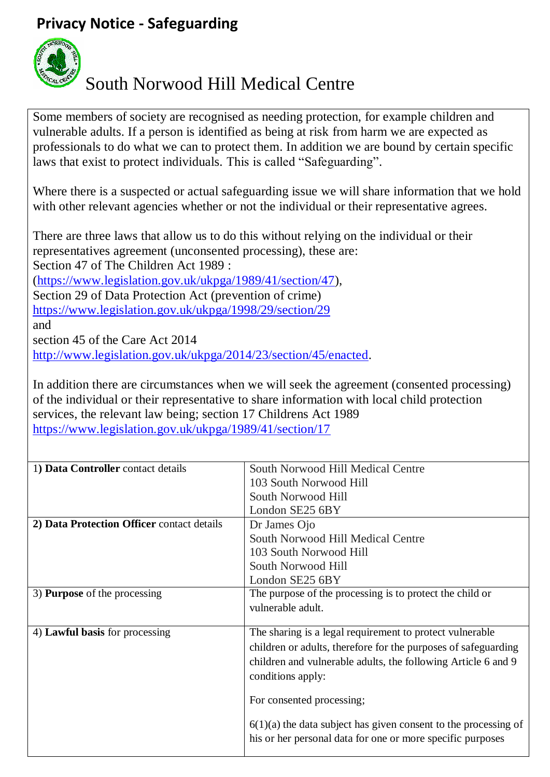## **Privacy Notice - Safeguarding**



## South Norwood Hill Medical Centre

Some members of society are recognised as needing protection, for example children and vulnerable adults. If a person is identified as being at risk from harm we are expected as professionals to do what we can to protect them. In addition we are bound by certain specific laws that exist to protect individuals. This is called "Safeguarding".

Where there is a suspected or actual safeguarding issue we will share information that we hold with other relevant agencies whether or not the individual or their representative agrees.

There are three laws that allow us to do this without relying on the individual or their representatives agreement (unconsented processing), these are: Section 47 of The Children Act 1989 : [\(https://www.legislation.gov.uk/ukpga/1989/41/section/47\)](https://www.legislation.gov.uk/ukpga/1989/41/section/47), Section 29 of Data Protection Act (prevention of crime) <https://www.legislation.gov.uk/ukpga/1998/29/section/29> and section 45 of the Care Act 2014 [http://www.legislation.gov.uk/ukpga/2014/23/section/45/enacted.](http://www.legislation.gov.uk/ukpga/2014/23/section/45/enacted)

In addition there are circumstances when we will seek the agreement (consented processing) of the individual or their representative to share information with local child protection services, the relevant law being; section 17 Childrens Act 1989 <https://www.legislation.gov.uk/ukpga/1989/41/section/17>

| 1) Data Controller contact details         | South Norwood Hill Medical Centre                                 |
|--------------------------------------------|-------------------------------------------------------------------|
|                                            | 103 South Norwood Hill                                            |
|                                            | South Norwood Hill                                                |
|                                            | London SE25 6BY                                                   |
| 2) Data Protection Officer contact details | Dr James Ojo                                                      |
|                                            | South Norwood Hill Medical Centre                                 |
|                                            | 103 South Norwood Hill                                            |
|                                            | South Norwood Hill                                                |
|                                            | London SE25 6BY                                                   |
| 3) <b>Purpose</b> of the processing        | The purpose of the processing is to protect the child or          |
|                                            | vulnerable adult.                                                 |
|                                            |                                                                   |
| 4) Lawful basis for processing             | The sharing is a legal requirement to protect vulnerable          |
|                                            | children or adults, therefore for the purposes of safeguarding    |
|                                            | children and vulnerable adults, the following Article 6 and 9     |
|                                            | conditions apply:                                                 |
|                                            |                                                                   |
|                                            | For consented processing;                                         |
|                                            | $6(1)(a)$ the data subject has given consent to the processing of |
|                                            | his or her personal data for one or more specific purposes        |
|                                            |                                                                   |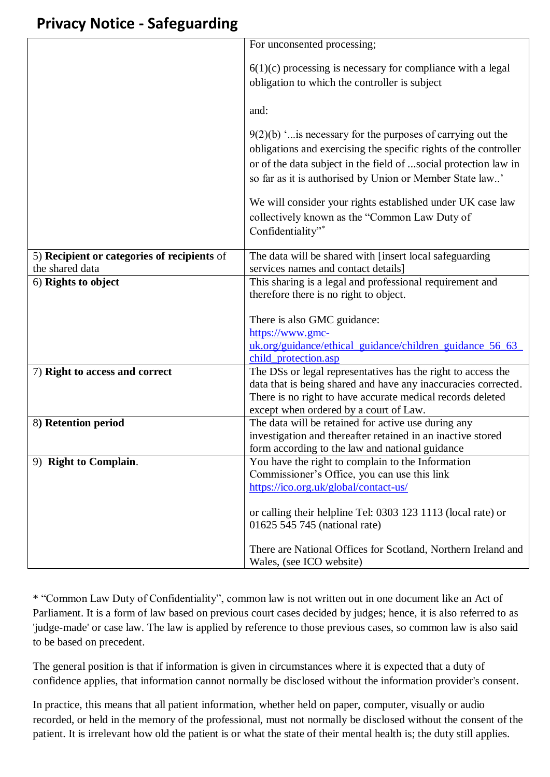## **Privacy Notice - Safeguarding**

|                                             | For unconsented processing;                                                                                                  |
|---------------------------------------------|------------------------------------------------------------------------------------------------------------------------------|
|                                             |                                                                                                                              |
|                                             | $6(1)(c)$ processing is necessary for compliance with a legal                                                                |
|                                             | obligation to which the controller is subject                                                                                |
|                                             |                                                                                                                              |
|                                             | and:                                                                                                                         |
|                                             |                                                                                                                              |
|                                             | $9(2)(b)$ ' is necessary for the purposes of carrying out the                                                                |
|                                             | obligations and exercising the specific rights of the controller                                                             |
|                                             | or of the data subject in the field of social protection law in                                                              |
|                                             | so far as it is authorised by Union or Member State law'                                                                     |
|                                             |                                                                                                                              |
|                                             | We will consider your rights established under UK case law                                                                   |
|                                             | collectively known as the "Common Law Duty of                                                                                |
|                                             | Confidentiality"*                                                                                                            |
|                                             |                                                                                                                              |
| 5) Recipient or categories of recipients of | The data will be shared with [insert local safeguarding                                                                      |
| the shared data                             | services names and contact details]                                                                                          |
| 6) Rights to object                         | This sharing is a legal and professional requirement and                                                                     |
|                                             | therefore there is no right to object.                                                                                       |
|                                             |                                                                                                                              |
|                                             | There is also GMC guidance:                                                                                                  |
|                                             | https://www.gmc-                                                                                                             |
|                                             | uk.org/guidance/ethical_guidance/children_guidance_56_63_                                                                    |
|                                             | child_protection.asp                                                                                                         |
| 7) Right to access and correct              | The DSs or legal representatives has the right to access the                                                                 |
|                                             | data that is being shared and have any inaccuracies corrected.<br>There is no right to have accurate medical records deleted |
|                                             | except when ordered by a court of Law.                                                                                       |
| 8) Retention period                         | The data will be retained for active use during any                                                                          |
|                                             | investigation and thereafter retained in an inactive stored                                                                  |
|                                             | form according to the law and national guidance                                                                              |
| 9) Right to Complain.                       | You have the right to complain to the Information                                                                            |
|                                             | Commissioner's Office, you can use this link                                                                                 |
|                                             | https://ico.org.uk/global/contact-us/                                                                                        |
|                                             |                                                                                                                              |
|                                             | or calling their helpline Tel: 0303 123 1113 (local rate) or                                                                 |
|                                             | 01625 545 745 (national rate)                                                                                                |
|                                             |                                                                                                                              |
|                                             | There are National Offices for Scotland, Northern Ireland and                                                                |
|                                             | Wales, (see ICO website)                                                                                                     |

\* "Common Law Duty of Confidentiality", common law is not written out in one document like an Act of Parliament. It is a form of law based on previous court cases decided by judges; hence, it is also referred to as 'judge-made' or case law. The law is applied by reference to those previous cases, so common law is also said to be based on precedent.

The general position is that if information is given in circumstances where it is expected that a duty of confidence applies, that information cannot normally be disclosed without the information provider's consent.

In practice, this means that all patient information, whether held on paper, computer, visually or audio recorded, or held in the memory of the professional, must not normally be disclosed without the consent of the patient. It is irrelevant how old the patient is or what the state of their mental health is; the duty still applies.